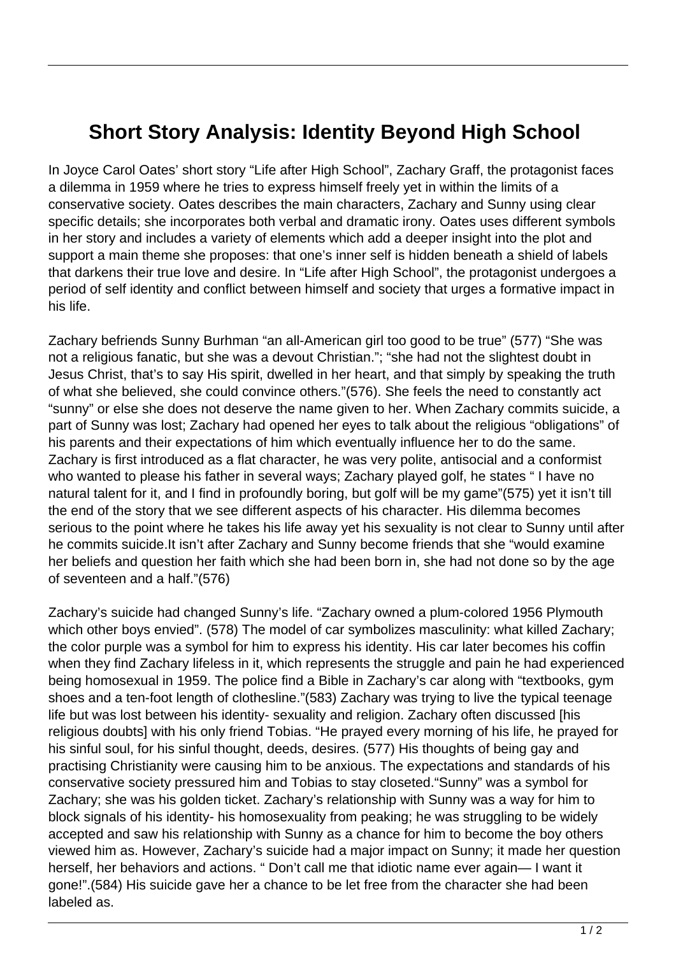## **Short Story Analysis: Identity Beyond High School**

In Joyce Carol Oates' short story "Life after High School", Zachary Graff, the protagonist faces a dilemma in 1959 where he tries to express himself freely yet in within the limits of a conservative society. Oates describes the main characters, Zachary and Sunny using clear specific details; she incorporates both verbal and dramatic irony. Oates uses different symbols in her story and includes a variety of elements which add a deeper insight into the plot and support a main theme she proposes: that one's inner self is hidden beneath a shield of labels that darkens their true love and desire. In "Life after High School", the protagonist undergoes a period of self identity and conflict between himself and society that urges a formative impact in his life.

Zachary befriends Sunny Burhman "an all-American girl too good to be true" (577) "She was not a religious fanatic, but she was a devout Christian."; "she had not the slightest doubt in Jesus Christ, that's to say His spirit, dwelled in her heart, and that simply by speaking the truth of what she believed, she could convince others."(576). She feels the need to constantly act "sunny" or else she does not deserve the name given to her. When Zachary commits suicide, a part of Sunny was lost; Zachary had opened her eyes to talk about the religious "obligations" of his parents and their expectations of him which eventually influence her to do the same. Zachary is first introduced as a flat character, he was very polite, antisocial and a conformist who wanted to please his father in several ways; Zachary played golf, he states " I have no natural talent for it, and I find in profoundly boring, but golf will be my game"(575) yet it isn't till the end of the story that we see different aspects of his character. His dilemma becomes serious to the point where he takes his life away yet his sexuality is not clear to Sunny until after he commits suicide.It isn't after Zachary and Sunny become friends that she "would examine her beliefs and question her faith which she had been born in, she had not done so by the age of seventeen and a half."(576)

Zachary's suicide had changed Sunny's life. "Zachary owned a plum-colored 1956 Plymouth which other boys envied". (578) The model of car symbolizes masculinity: what killed Zachary; the color purple was a symbol for him to express his identity. His car later becomes his coffin when they find Zachary lifeless in it, which represents the struggle and pain he had experienced being homosexual in 1959. The police find a Bible in Zachary's car along with "textbooks, gym shoes and a ten-foot length of clothesline."(583) Zachary was trying to live the typical teenage life but was lost between his identity- sexuality and religion. Zachary often discussed [his religious doubts] with his only friend Tobias. "He prayed every morning of his life, he prayed for his sinful soul, for his sinful thought, deeds, desires. (577) His thoughts of being gay and practising Christianity were causing him to be anxious. The expectations and standards of his conservative society pressured him and Tobias to stay closeted."Sunny" was a symbol for Zachary; she was his golden ticket. Zachary's relationship with Sunny was a way for him to block signals of his identity- his homosexuality from peaking; he was struggling to be widely accepted and saw his relationship with Sunny as a chance for him to become the boy others viewed him as. However, Zachary's suicide had a major impact on Sunny; it made her question herself, her behaviors and actions. " Don't call me that idiotic name ever again— I want it gone!".(584) His suicide gave her a chance to be let free from the character she had been labeled as.